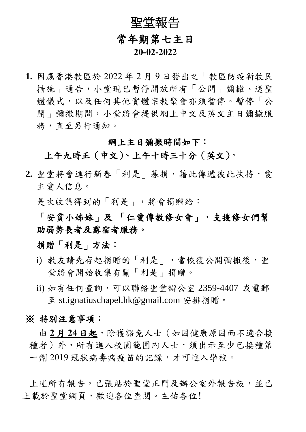## 聖堂報告 常年期第七主日  **20-02-2022**

**1.** 因應香港教區於 2022 年 2 月 9 日發出之「教區防疫新牧民 措施」通告,小堂現已暫停開放所有「公開」彌撒、送聖 體儀式,以及任何其他實體宗教聚會亦須暫停。暫停「公 開 | 彌撒期間, 小堂將會提供網上中文及英文主日彌撒服 務,直至另行通知。

## 網上主日彌撒時間如下:

上午九時正(中文)、上午十時三十分(英文)。

**2.** 聖堂將會進行新春「利是」募捐,藉此傳遞彼此扶持,愛 主愛人信息。

是次收集得到的「利是」,將會捐贈給:

「安貧小姊妹」及 「仁愛傳教修女會」,支援修女們幫 助弱勢長者及露宿者服務。

捐贈「利是」方法:

- i) 教友請先存起捐贈的「利是」,當恢復公開彌撒後,聖 堂將會開始收集有關「利是」捐贈。
- ii) 如有任何查詢,可以聯絡聖堂辦公室 2359-4407 或電郵 至 st.ignatiuschapel.hk@gmail.com 安排捐贈。

## ※ 特別注意事項:

由 **2** 月 **24** 日起,除獲豁免人士(如因健康原因而不適合接 種者)外,所有進入校園範圍內人士,須出示至少已接種第 一劑 2019 冠狀病毒病疫苗的記錄,才可進入學校。

上述所有報告,已張貼於聖堂正門及辦公室外報告板,並已 上載於聖堂網頁,歡迎各位查閱。主佑各位!